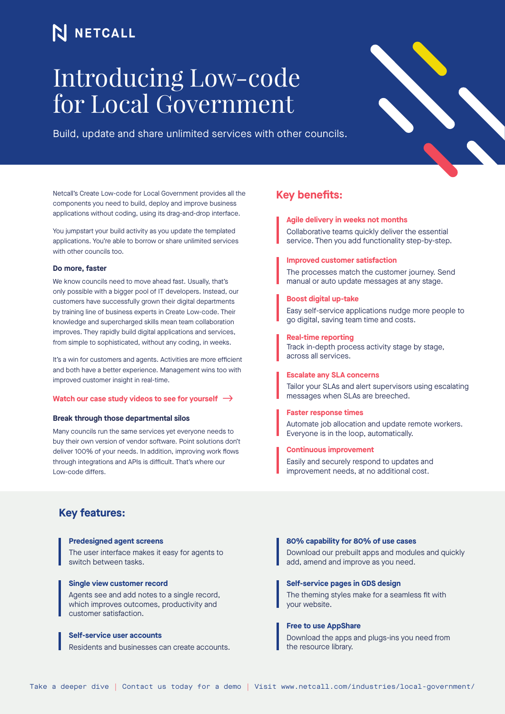## N NETCALL

# Introducing Low-code for Local Government

Build, update and share unlimited services with other councils.

Netcall's Create Low-code for Local Government provides all the components you need to build, deploy and improve business applications without coding, using its drag-and-drop interface.

You jumpstart your build activity as you update the templated applications. You're able to borrow or share unlimited services with other councils too.

#### **Do more, faster**

We know councils need to move ahead fast. Usually, that's only possible with a bigger pool of IT developers. Instead, our customers have successfully grown their digital departments by training line of business experts in Create Low-code. Their knowledge and supercharged skills mean team collaboration improves. They rapidly build digital applications and services, from simple to sophisticated, without any coding, in weeks.

It's a win for customers and agents. Activities are more efficient and both have a better experience. Management wins too with improved customer insight in real-time.

#### **[Watch our case study videos to see for yourself](https://www.netcall.com/resources/adur-worthing-local-government-low-code-case-studies/)**

#### **Break through those departmental silos**

Many councils run the same services yet everyone needs to buy their own version of vendor software. Point solutions don't deliver 100% of your needs. In addition, improving work flows through integrations and APIs is difficult. That's where our Low-code differs.

## **Key benefits:**

**Agile delivery in weeks not months**  Collaborative teams quickly deliver the essential service. Then you add functionality step-by-step.

**Improved customer satisfaction** 

The processes match the customer journey. Send manual or auto update messages at any stage.

#### **Boost digital up-take**

Easy self-service applications nudge more people to go digital, saving team time and costs.

#### **Real-time reporting**

Track in-depth process activity stage by stage, across all services.

### **Escalate any SLA concerns**

Tailor your SLAs and alert supervisors using escalating messages when SLAs are breeched.

#### **Faster response times**

Automate job allocation and update remote workers. Everyone is in the loop, automatically.

#### **Continuous improvement**

Easily and securely respond to updates and improvement needs, at no additional cost.

## **Key features:**

#### **Predesigned agent screens**

The user interface makes it easy for agents to switch between tasks.

#### **Single view customer record**

Agents see and add notes to a single record, which improves outcomes, productivity and customer satisfaction.

#### **Self-service user accounts**

Residents and businesses can create accounts.

#### **80% capability for 80% of use cases**

Download our prebuilt apps and modules and quickly add, amend and improve as you need.

#### **Self-service pages in GDS design**

The theming styles make for a seamless fit with your website.

#### **Free to use AppShare**

Download the apps and plugs-ins you need from the resource library.